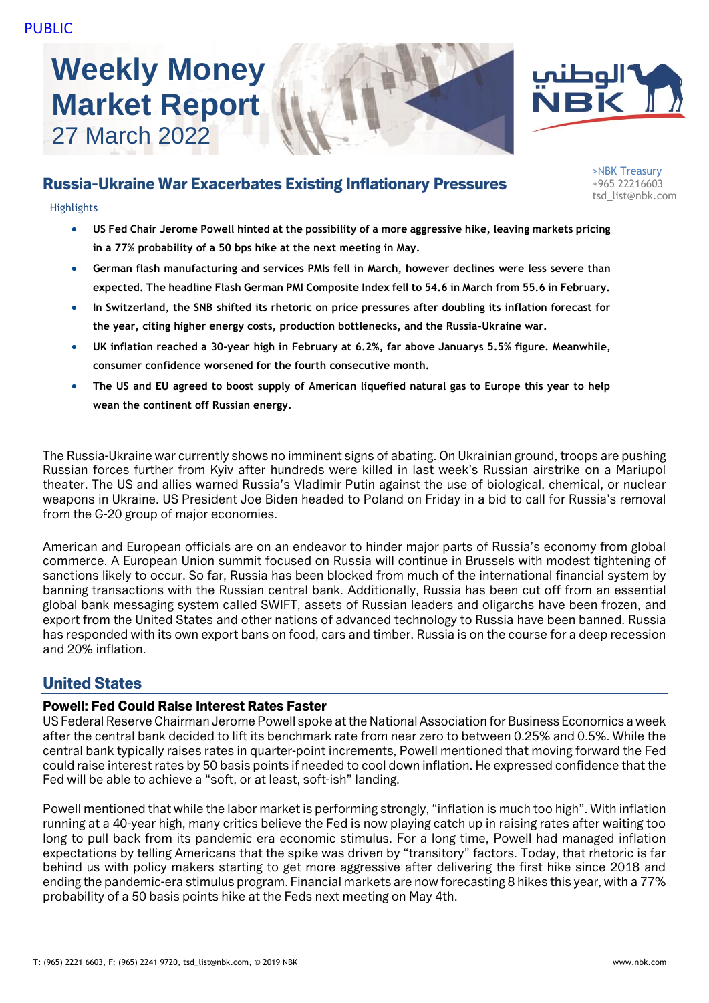# **Weekly Money Market Report** 27 March 2022





# Russia-Ukraine War Exacerbates Existing Inflationary Pressures

**Highlights** 

- **US Fed Chair Jerome Powell hinted at the possibility of a more aggressive hike, leaving markets pricing in a 77% probability of a 50 bps hike at the next meeting in May.**
- **German flash manufacturing and services PMIs fell in March, however declines were less severe than expected. The headline Flash German PMI Composite Index fell to 54.6 in March from 55.6 in February.**
- **In Switzerland, the SNB shifted its rhetoric on price pressures after doubling its inflation forecast for the year, citing higher energy costs, production bottlenecks, and the Russia-Ukraine war.**
- **UK inflation reached a 30-year high in February at 6.2%, far above Januarys 5.5% figure. Meanwhile, consumer confidence worsened for the fourth consecutive month.**
- **The US and EU agreed to boost supply of American liquefied natural gas to Europe this year to help wean the continent off Russian energy.**

The Russia-Ukraine war currently shows no imminent signs of abating. On Ukrainian ground, troops are pushing Russian forces further from Kyiv after hundreds were killed in last week's Russian airstrike on a Mariupol theater. The US and allies warned Russia's Vladimir Putin against the use of biological, chemical, or nuclear weapons in Ukraine. US President Joe Biden headed to Poland on Friday in a bid to call for Russia's removal from the G-20 group of major economies.

American and European officials are on an endeavor to hinder major parts of Russia's economy from global commerce. A European Union summit focused on Russia will continue in Brussels with modest tightening of sanctions likely to occur. So far, Russia has been blocked from much of the international financial system by banning transactions with the Russian central bank. Additionally, Russia has been cut off from an essential global bank messaging system called SWIFT, assets of Russian leaders and oligarchs have been frozen, and export from the United States and other nations of advanced technology to Russia have been banned. Russia has responded with its own export bans on food, cars and timber. Russia is on the course for a deep recession and 20% inflation.

# United States

### Powell: Fed Could Raise Interest Rates Faster

US Federal Reserve Chairman Jerome Powell spoke at the National Association for Business Economics a week after the central bank decided to lift its benchmark rate from near zero to between 0.25% and 0.5%. While the central bank typically raises rates in quarter-point increments, Powell mentioned that moving forward the Fed could raise interest rates by 50 basis points if needed to cool down inflation. He expressed confidence that the Fed will be able to achieve a "soft, or at least, soft-ish" landing.

Powell mentioned that while the labor market is performing strongly, "inflation is much too high". With inflation running at a 40-year high, many critics believe the Fed is now playing catch up in raising rates after waiting too long to pull back from its pandemic era economic stimulus. For a long time, Powell had managed inflation expectations by telling Americans that the spike was driven by "transitory" factors. Today, that rhetoric is far behind us with policy makers starting to get more aggressive after delivering the first hike since 2018 and ending the pandemic-era stimulus program. Financial markets are now forecasting 8 hikes this year, with a 77% probability of a 50 basis points hike at the Feds next meeting on May 4th.

>NBK Treasury +965 22216603 tsd\_list@nbk.com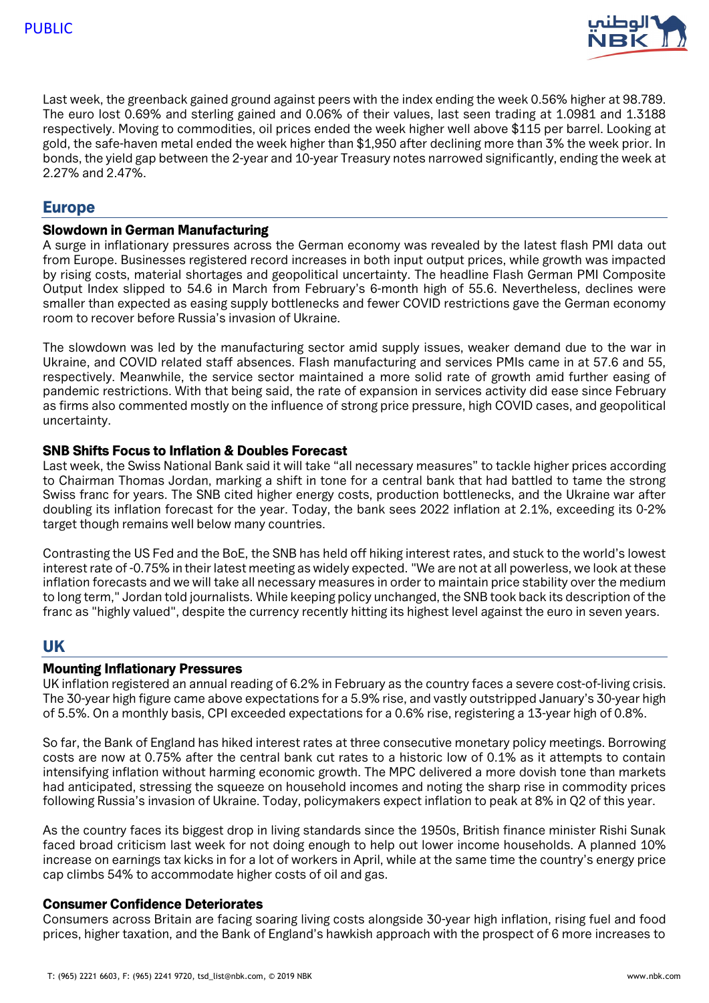

Last week, the greenback gained ground against peers with the index ending the week 0.56% higher at 98.789. The euro lost 0.69% and sterling gained and 0.06% of their values, last seen trading at 1.0981 and 1.3188 respectively. Moving to commodities, oil prices ended the week higher well above \$115 per barrel. Looking at gold, the safe-haven metal ended the week higher than \$1,950 after declining more than 3% the week prior. In bonds, the yield gap between the 2-year and 10-year Treasury notes narrowed significantly, ending the week at 2.27% and 2.47%.

## Europe

#### Slowdown in German Manufacturing

A surge in inflationary pressures across the German economy was revealed by the latest flash PMI data out from Europe. Businesses registered record increases in both input output prices, while growth was impacted by rising costs, material shortages and geopolitical uncertainty. The headline Flash German PMI Composite Output Index slipped to 54.6 in March from February's 6-month high of 55.6. Nevertheless, declines were smaller than expected as easing supply bottlenecks and fewer COVID restrictions gave the German economy room to recover before Russia's invasion of Ukraine.

The slowdown was led by the manufacturing sector amid supply issues, weaker demand due to the war in Ukraine, and COVID related staff absences. Flash manufacturing and services PMIs came in at 57.6 and 55, respectively. Meanwhile, the service sector maintained a more solid rate of growth amid further easing of pandemic restrictions. With that being said, the rate of expansion in services activity did ease since February as firms also commented mostly on the influence of strong price pressure, high COVID cases, and geopolitical uncertainty.

#### SNB Shifts Focus to Inflation & Doubles Forecast

Last week, the Swiss National Bank said it will take "all necessary measures" to tackle higher prices according to Chairman Thomas Jordan, marking a shift in tone for a central bank that had battled to tame the strong Swiss franc for years. The SNB cited higher energy costs, production bottlenecks, and the Ukraine war after doubling its inflation forecast for the year. Today, the bank sees 2022 inflation at 2.1%, exceeding its 0-2% target though remains well below many countries.

Contrasting the US Fed and the BoE, the SNB has held off hiking interest rates, and stuck to the world's lowest interest rate of -0.75% in their latest meeting as widely expected. "We are not at all powerless, we look at these inflation forecasts and we will take all necessary measures in order to maintain price stability over the medium to long term," Jordan told journalists. While keeping policy unchanged, the SNB took back its description of the franc as "highly valued", despite the currency recently hitting its highest level against the euro in seven years.

# UK

#### Mounting Inflationary Pressures

UK inflation registered an annual reading of 6.2% in February as the country faces a severe cost-of-living crisis. The 30-year high figure came above expectations for a 5.9% rise, and vastly outstripped January's 30-year high of 5.5%. On a monthly basis, CPI exceeded expectations for a 0.6% rise, registering a 13-year high of 0.8%.

So far, the Bank of England has hiked interest rates at three consecutive monetary policy meetings. Borrowing costs are now at 0.75% after the central bank cut rates to a historic low of 0.1% as it attempts to contain intensifying inflation without harming economic growth. The MPC delivered a more dovish tone than markets had anticipated, stressing the squeeze on household incomes and noting the sharp rise in commodity prices following Russia's invasion of Ukraine. Today, policymakers expect inflation to peak at 8% in Q2 of this year.

As the country faces its biggest drop in living standards since the 1950s, British finance minister Rishi Sunak faced broad criticism last week for not doing enough to help out lower income households. A planned 10% increase on earnings tax kicks in for a lot of workers in April, while at the same time the country's energy price cap climbs 54% to accommodate higher costs of oil and gas.

#### Consumer Confidence Deteriorates

Consumers across Britain are facing soaring living costs alongside 30-year high inflation, rising fuel and food prices, higher taxation, and the Bank of England's hawkish approach with the prospect of 6 more increases to